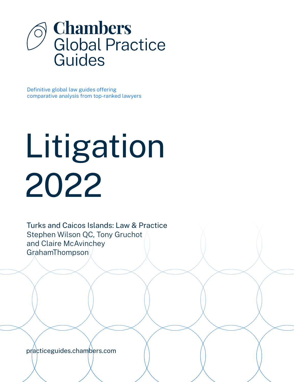

Definitive global law guides offering comparative analysis from top-ranked lawyers

# Litigation 2022

Turks and Caicos Islands: Law & Practice Stephen Wilson QC, Tony Gruchot and Claire McAvinchey GrahamThompson

[practiceguides.chambers.com](http://practiceguides.chambers.com)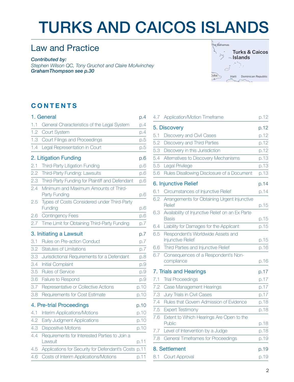## TURKS AND CAICOS ISLANDS

## Law and Practice

*Contributed by: Stephen Wilson QC, Tony Gruchot and Claire McAvinchey GrahamThompso[n see p.30](#page-29-0)*



### **CONTENTS**

|     | 1. General                                               | p.4  |
|-----|----------------------------------------------------------|------|
| 1.1 | General Characteristics of the Legal System              | p.4  |
| 1.2 | <b>Court System</b>                                      | p.4  |
| 1.3 | Court Filings and Proceedings                            | p.5  |
| 1.4 | Legal Representation in Court                            | p.5  |
|     | 2. Litigation Funding                                    | p.6  |
| 2.1 | Third-Party Litigation Funding                           | p.6  |
| 2.2 | Third-Party Funding: Lawsuits                            | p.6  |
| 2.3 | Third-Party Funding for Plaintiff and Defendant          | p.6  |
| 2.4 | Minimum and Maximum Amounts of Third-<br>Party Funding   | p.6  |
| 2.5 | Types of Costs Considered under Third-Party<br>Funding   | p.6  |
| 2.6 | <b>Contingency Fees</b>                                  | p.6  |
| 2.7 | Time Limit for Obtaining Third-Party Funding             | p.7  |
|     | 3. Initiating a Lawsuit                                  | p.7  |
| 3.1 | Rules on Pre-action Conduct                              | p.7  |
| 3.2 | <b>Statutes of Limitations</b>                           | p.7  |
| 3.3 | Jurisdictional Requirements for a Defendant              | p.8  |
| 3.4 | <b>Initial Complaint</b>                                 | p.9  |
| 3.5 | <b>Rules of Service</b>                                  | p.9  |
| 3.6 | Failure to Respond                                       | p.9  |
| 3.7 | Representative or Collective Actions                     | p.10 |
| 3.8 | Requirements for Cost Estimate                           | p.10 |
|     | 4. Pre-trial Proceedings                                 | p.10 |
| 4.1 | <b>Interim Applications/Motions</b>                      | p.10 |
| 4.2 | Early Judgment Applications                              | p.10 |
| 4.3 | <b>Dispositive Motions</b>                               | p.10 |
| 4.4 | Requirements for Interested Parties to Join a<br>Lawsuit | p.11 |
| 4.5 | Applications for Security for Defendant's Costs p.11     |      |
| 4.6 | Costs of Interim Applications/Motions                    | p.11 |
|     |                                                          |      |

| 4.7           | Application/Motion Timeframe                                     | p.12 |
|---------------|------------------------------------------------------------------|------|
|               | 5. Discovery                                                     | p.12 |
| 5.1           | Discovery and Civil Cases                                        | p.12 |
| 5.2           | Discovery and Third Parties                                      | p.12 |
| 5.3           | Discovery in this Jurisdiction                                   | p.12 |
| 5.4           | Alternatives to Discovery Mechanisms                             | p.13 |
| 5.5           | Legal Privilege                                                  | p.13 |
| 5.6           | Rules Disallowing Disclosure of a Document                       | p.13 |
|               | 6. Injunctive Relief                                             | p.14 |
| 6.1           | Circumstances of Injunctive Relief                               | p.14 |
| 6.2           | Arrangements for Obtaining Urgent Injunctive<br>Relief           | p.15 |
| 6.3           | Availability of Injunctive Relief on an Ex Parte<br><b>Basis</b> | p.15 |
| 6.4           | Liability for Damages for the Applicant                          | p.15 |
| 6.5           | Respondent's Worldwide Assets and<br><b>Injunctive Relief</b>    | p.15 |
| 6.6           | Third Parties and Injunctive Relief                              | p.16 |
| 6.7           | Consequences of a Respondent's Non-<br>compliance                | p.16 |
|               | 7. Trials and Hearings                                           | p.17 |
| 7.1           | <b>Trial Proceedings</b>                                         | p.17 |
| 7.2           | Case Management Hearings                                         | p.17 |
| 7.3           | Jury Trials in Civil Cases                                       | p.17 |
| 7.4           | Rules that Govern Admission of Evidence                          | p.18 |
| 7.5           | <b>Expert Testimony</b>                                          | p.18 |
| 7.6           | Extent to Which Hearings Are Open to the<br>Public               | p.18 |
| 7.7           | Level of Intervention by a Judge                                 | p.18 |
| 7.8           | General Timeframes for Proceedings                               | p.19 |
| 8. Settlement |                                                                  | p.19 |
| 8.1           | Court Approval                                                   | p.19 |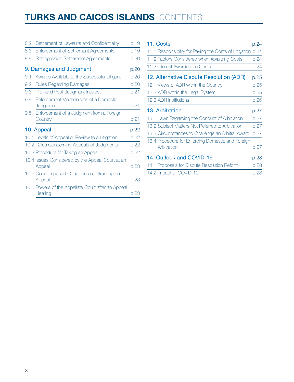## **TURKS AND CAICOS ISLANDS** CONTENTS

| 8.2 | Settlement of Lawsuits and Confidentiality                    | p.19 |
|-----|---------------------------------------------------------------|------|
| 8.3 | <b>Enforcement of Settlement Agreements</b>                   | p.19 |
| 8.4 | Setting Aside Settlement Agreements                           | p.20 |
|     | 9. Damages and Judgment                                       | p.20 |
| 9.1 | Awards Available to the Successful Litigant                   | p.20 |
| 9.2 | <b>Rules Regarding Damages</b>                                | p.20 |
| 9.3 | Pre- and Post-Judgment Interest                               | p.21 |
| 9.4 | Enforcement Mechanisms of a Domestic<br>Judgment              | p.21 |
| 9.5 | Enforcement of a Judgment from a Foreign<br>Country           | p.21 |
|     | 10. Appeal                                                    | p.22 |
|     | 10.1 Levels of Appeal or Review to a Litigation               | p.22 |
|     | 10.2 Rules Concerning Appeals of Judgments                    | p.22 |
|     | 10.3 Procedure for Taking an Appeal                           | p.22 |
|     | 10.4 Issues Considered by the Appeal Court at an<br>Appeal    | p.23 |
|     | 10.5 Court-Imposed Conditions on Granting an<br>Appeal        | p.23 |
|     | 10.6 Powers of the Appellate Court after an Appeal<br>Hearing | p.23 |

| 11. Costs                                                   | p.24 |  |
|-------------------------------------------------------------|------|--|
| 11.1 Responsibility for Paying the Costs of Litigation p.24 |      |  |
| 11.2 Factors Considered when Awarding Costs                 | p.24 |  |
| 11.3 Interest Awarded on Costs                              | p.24 |  |
| 12. Alternative Dispute Resolution (ADR)                    | p.25 |  |
| 12.1 Views of ADR within the Country                        | p.25 |  |
| 12.2 ADR within the Legal System                            | p.25 |  |
| 12.3 ADR Institutions                                       | p.26 |  |
| 13. Arbitration                                             | p.27 |  |
| 13.1 Laws Regarding the Conduct of Arbitration              | p.27 |  |
| 13.2 Subject Matters Not Referred to Arbitration            | p.27 |  |
| 13.3 Circumstances to Challenge an Arbitral Award           | p.27 |  |
| 13.4 Procedure for Enforcing Domestic and Foreign           |      |  |
| Arbitration                                                 | p.27 |  |
| 14. Outlook and COVID-19                                    |      |  |
| 14.1 Proposals for Dispute Resolution Reform                | p.28 |  |
| 14.2 Impact of COVID-19                                     | p.28 |  |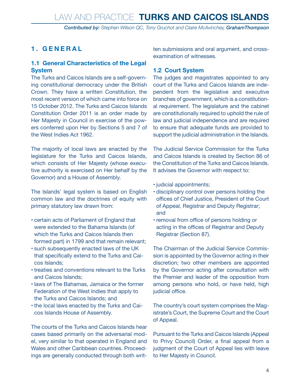*Contributed by: Stephen Wilson QC, Tony Gruchot and Claire McAvinchey, GrahamThompson*

#### <span id="page-3-0"></span>**1. GENERAL**

#### **1.1 General Characteristics of the Legal System**

The Turks and Caicos Islands are a self-governing constitutional democracy under the British Crown. They have a written Constitution, the most recent version of which came into force on 15 October 2012. The Turks and Caicos Islands Constitution Order 2011 is an order made by Her Majesty in Council in exercise of the powers conferred upon Her by Sections 5 and 7 of the West Indies Act 1962.

The majority of local laws are enacted by the legislature for the Turks and Caicos Islands, which consists of Her Majesty (whose executive authority is exercised on Her behalf by the Governor) and a House of Assembly.

The Islands' legal system is based on English common law and the doctrines of equity with primary statutory law drawn from:

- • certain acts of Parliament of England that were extended to the Bahama Islands (of which the Turks and Caicos Islands then formed part) in 1799 and that remain relevant;
- • such subsequently enacted laws of the UK that specifically extend to the Turks and Caicos Islands;
- treaties and conventions relevant to the Turks and Caicos Islands;
- • laws of The Bahamas, Jamaica or the former Federation of the West Indies that apply to the Turks and Caicos Islands; and
- the local laws enacted by the Turks and Caicos Islands House of Assembly.

The courts of the Turks and Caicos Islands hear cases based primarily on the adversarial model, very similar to that operated in England and Wales and other Caribbean countries. Proceedings are generally conducted through both written submissions and oral argument, and crossexamination of witnesses.

#### **1.2 Court System**

The judges and magistrates appointed to any court of the Turks and Caicos Islands are independent from the legislative and executive branches of government, which is a constitutional requirement. The legislature and the cabinet are constitutionally required to uphold the rule of law and judicial independence and are required to ensure that adequate funds are provided to support the judicial administration in the Islands.

The Judicial Service Commission for the Turks and Caicos Islands is created by Section 86 of the Constitution of the Turks and Caicos Islands. It advises the Governor with respect to:

- judicial appointments;
- • disciplinary control over persons holding the offices of Chief Justice, President of the Court of Appeal, Registrar and Deputy Registrar; and
- removal from office of persons holding or acting in the offices of Registrar and Deputy Registrar (Section 87).

The Chairman of the Judicial Service Commission is appointed by the Governor acting in their discretion; two other members are appointed by the Governor acting after consultation with the Premier and leader of the opposition from among persons who hold, or have held, high judicial office.

The country's court system comprises the Magistrate's Court, the Supreme Court and the Court of Appeal.

Pursuant to the Turks and Caicos Islands (Appeal to Privy Council) Order, a final appeal from a judgment of the Court of Appeal lies with leave to Her Majesty in Council.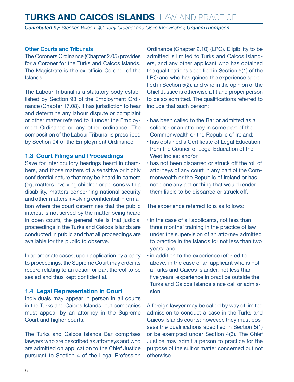<span id="page-4-0"></span>*Contributed by: Stephen Wilson QC, Tony Gruchot and Claire McAvinchey, GrahamThompson*

#### Other Courts and Tribunals

The Coroners Ordinance (Chapter 2.05) provides for a Coroner for the Turks and Caicos Islands. The Magistrate is the ex officio Coroner of the Islands.

The Labour Tribunal is a statutory body established by Section 93 of the Employment Ordinance (Chapter 17.08). It has jurisdiction to hear and determine any labour dispute or complaint or other matter referred to it under the Employment Ordinance or any other ordinance. The composition of the Labour Tribunal is prescribed by Section 94 of the Employment Ordinance.

#### **1.3 Court Filings and Proceedings**

Save for interlocutory hearings heard in chambers, and those matters of a sensitive or highly confidential nature that may be heard in camera (eg, matters involving children or persons with a disability, matters concerning national security and other matters involving confidential information where the court determines that the public interest is not served by the matter being heard in open court), the general rule is that judicial proceedings in the Turks and Caicos Islands are conducted in public and that all proceedings are available for the public to observe.

In appropriate cases, upon application by a party to proceedings, the Supreme Court may order its record relating to an action or part thereof to be sealed and thus kept confidential.

#### **1.4 Legal Representation in Court**

Individuals may appear in person in all courts in the Turks and Caicos Islands, but companies must appear by an attorney in the Supreme Court and higher courts.

The Turks and Caicos Islands Bar comprises lawyers who are described as attorneys and who are admitted on application to the Chief Justice pursuant to Section 4 of the Legal Profession Ordinance (Chapter 2.10) (LPO). Eligibility to be admitted is limited to Turks and Caicos Islanders, and any other applicant who has obtained the qualifications specified in Section 5(1) of the LPO and who has gained the experience specified in Section 5(2), and who in the opinion of the Chief Justice is otherwise a fit and proper person to be so admitted. The qualifications referred to include that such person:

- • has been called to the Bar or admitted as a solicitor or an attorney in some part of the Commonwealth or the Republic of Ireland;
- • has obtained a Certificate of Legal Education from the Council of Legal Education of the West Indies; and/or
- has not been disbarred or struck off the roll of attorneys of any court in any part of the Commonwealth or the Republic of Ireland or has not done any act or thing that would render them liable to be disbarred or struck off.

The experience referred to is as follows:

- in the case of all applicants, not less than three months' training in the practice of law under the supervision of an attorney admitted to practice in the Islands for not less than two years; and
- $\cdot$  in addition to the experience referred to above, in the case of an applicant who is not a Turks and Caicos Islander, not less than five years' experience in practice outside the Turks and Caicos Islands since call or admission.

A foreign lawyer may be called by way of limited admission to conduct a case in the Turks and Caicos Islands courts; however, they must possess the qualifications specified in Section 5(1) or be exempted under Section 4(3). The Chief Justice may admit a person to practice for the purpose of the suit or matter concerned but not otherwise.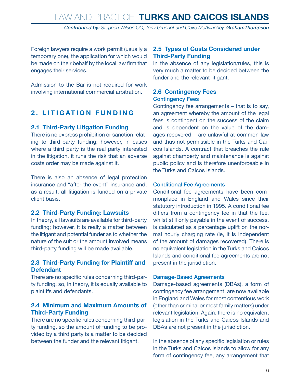*Contributed by: Stephen Wilson QC, Tony Gruchot and Claire McAvinchey, GrahamThompson*

<span id="page-5-0"></span>Foreign lawyers require a work permit (usually a temporary one), the application for which would be made on their behalf by the local law firm that engages their services.

Admission to the Bar is not required for work involving international commercial arbitration.

#### **2. LITIGATION FUNDING**

#### **2.1 Third-Party Litigation Funding**

There is no express prohibition or sanction relating to third-party funding; however, in cases where a third party is the real party interested in the litigation, it runs the risk that an adverse costs order may be made against it.

There is also an absence of legal protection insurance and "after the event" insurance and, as a result, all litigation is funded on a private client basis.

#### **2.2 Third-Party Funding: Lawsuits**

In theory, all lawsuits are available for third-party funding; however, it is really a matter between the litigant and potential funder as to whether the nature of the suit or the amount involved means third-party funding will be made available.

#### **2.3 Third-Party Funding for Plaintiff and Defendant**

There are no specific rules concerning third-party funding, so, in theory, it is equally available to plaintiffs and defendants.

#### **2.4 Minimum and Maximum Amounts of Third-Party Funding**

There are no specific rules concerning third-party funding, so the amount of funding to be provided by a third party is a matter to be decided between the funder and the relevant litigant.

#### **2.5 Types of Costs Considered under Third-Party Funding**

In the absence of any legislation/rules, this is very much a matter to be decided between the funder and the relevant litigant.

#### **2.6 Contingency Fees** Contingency Fees

Contingency fee arrangements – that is to say, an agreement whereby the amount of the legal fees is contingent on the success of the claim and is dependent on the value of the damages recovered – are unlawful at common law and thus not permissible in the Turks and Caicos Islands. A contract that breaches the rule against champerty and maintenance is against public policy and is therefore unenforceable in the Turks and Caicos Islands.

#### Conditional Fee Agreements

Conditional fee agreements have been commonplace in England and Wales since their statutory introduction in 1995. A conditional fee differs from a contingency fee in that the fee, whilst still only payable in the event of success, is calculated as a percentage uplift on the normal hourly charging rate (ie, it is independent of the amount of damages recovered). There is no equivalent legislation in the Turks and Caicos Islands and conditional fee agreements are not present in the jurisdiction.

#### Damage-Based Agreements

Damage-based agreements (DBAs), a form of contingency fee arrangement, are now available in England and Wales for most contentious work (other than criminal or most family matters) under relevant legislation. Again, there is no equivalent legislation in the Turks and Caicos Islands and DBAs are not present in the jurisdiction.

In the absence of any specific legislation or rules in the Turks and Caicos Islands to allow for any form of contingency fee, any arrangement that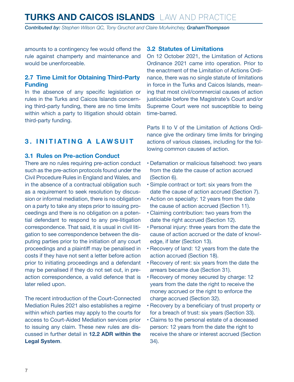<span id="page-6-0"></span>*Contributed by: Stephen Wilson QC, Tony Gruchot and Claire McAvinchey, GrahamThompson*

amounts to a contingency fee would offend the rule against champerty and maintenance and would be unenforceable.

#### **2.7 Time Limit for Obtaining Third-Party Funding**

In the absence of any specific legislation or rules in the Turks and Caicos Islands concerning third-party funding, there are no time limits within which a party to litigation should obtain third-party funding.

#### **3. INITIATING A LAWSUIT**

#### **3.1 Rules on Pre-action Conduct**

There are no rules requiring pre-action conduct such as the pre-action protocols found under the Civil Procedure Rules in England and Wales, and in the absence of a contractual obligation such as a requirement to seek resolution by discussion or informal mediation, there is no obligation on a party to take any steps prior to issuing proceedings and there is no obligation on a potential defendant to respond to any pre-litigation correspondence. That said, it is usual in civil litigation to see correspondence between the disputing parties prior to the initiation of any court proceedings and a plaintiff may be penalised in costs if they have not sent a letter before action prior to initiating proceedings and a defendant may be penalised if they do not set out, in preaction correspondence, a valid defence that is later relied upon.

The recent introduction of the Court-Connected Mediation Rules 2021 also establishes a regime within which parties may apply to the courts for access to Court-Aided Mediation services prior to issuing any claim. These new rules are discussed in further detail in **12.2 ADR within the Legal System**.

#### **3.2 Statutes of Limitations**

On 12 October 2021, the Limitation of Actions Ordinance 2021 came into operation. Prior to the enactment of the Limitation of Actions Ordinance, there was no single statute of limitations in force in the Turks and Caicos Islands, meaning that most civil/commercial causes of action justiciable before the Magistrate's Court and/or Supreme Court were not susceptible to being time-barred.

Parts II to V of the Limitation of Actions Ordinance give the ordinary time limits for bringing actions of various classes, including for the following common causes of action.

- • Defamation or malicious falsehood: two years from the date the cause of action accrued (Section 6).
- • Simple contract or tort: six years from the date the cause of action accrued (Section 7).
- • Action on specialty: 12 years from the date the cause of action accrued (Section 11).
- • Claiming contribution: two years from the date the right accrued (Section 12).
- • Personal injury: three years from the date the cause of action accrued or the date of knowledge, if later (Section 13).
- • Recovery of land: 12 years from the date the action accrued (Section 18).
- • Recovery of rent: six years from the date the arrears became due (Section 31).
- • Recovery of money secured by charge: 12 years from the date the right to receive the money accrued or the right to enforce the charge accrued (Section 32).
- Recovery by a beneficiary of trust property or for a breach of trust: six years (Section 33).
- • Claims to the personal estate of a deceased person: 12 years from the date the right to receive the share or interest accrued (Section 34).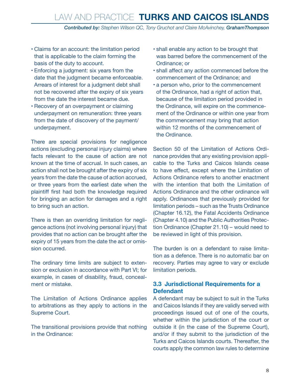*Contributed by: Stephen Wilson QC, Tony Gruchot and Claire McAvinchey, GrahamThompson*

- <span id="page-7-0"></span>• Claims for an account: the limitation period that is applicable to the claim forming the basis of the duty to account.
- • Enforcing a judgment: six years from the date that the judgment became enforceable. Arrears of interest for a judgment debt shall not be recovered after the expiry of six years from the date the interest became due.
- • Recovery of an overpayment or claiming underpayment on remuneration: three years from the date of discovery of the payment/ underpayment.

There are special provisions for negligence actions (excluding personal injury claims) where facts relevant to the cause of action are not known at the time of accrual. In such cases, an action shall not be brought after the expiry of six years from the date the cause of action accrued, or three years from the earliest date when the plaintiff first had both the knowledge required for bringing an action for damages and a right to bring such an action.

There is then an overriding limitation for negligence actions (not involving personal injury) that provides that no action can be brought after the expiry of 15 years from the date the act or omission occurred.

The ordinary time limits are subject to extension or exclusion in accordance with Part VI; for example, in cases of disability, fraud, concealment or mistake.

The Limitation of Actions Ordinance applies to arbitrations as they apply to actions in the Supreme Court.

The transitional provisions provide that nothing in the Ordinance:

- • shall enable any action to be brought that was barred before the commencement of the Ordinance; or
- • shall affect any action commenced before the commencement of the Ordinance; and
- a person who, prior to the commencement of the Ordinance, had a right of action that, because of the limitation period provided in the Ordinance, will expire on the commencement of the Ordinance or within one year from the commencement may bring that action within 12 months of the commencement of the Ordinance.

Section 50 of the Limitation of Actions Ordinance provides that any existing provision applicable to the Turks and Caicos Islands cease to have effect, except where the Limitation of Actions Ordinance refers to another enactment with the intention that both the Limitation of Actions Ordinance and the other ordinance will apply. Ordinances that previously provided for limitation periods – such as the Trusts Ordinance (Chapter 16.12), the Fatal Accidents Ordinance (Chapter 4.10) and the Public Authorities Protection Ordinance (Chapter 21.10) – would need to be reviewed in light of this provision.

The burden is on a defendant to raise limitation as a defence. There is no automatic bar on recovery. Parties may agree to vary or exclude limitation periods.

#### **3.3 Jurisdictional Requirements for a Defendant**

A defendant may be subject to suit in the Turks and Caicos Islands if they are validly served with proceedings issued out of one of the courts, whether within the jurisdiction of the court or outside it (in the case of the Supreme Court), and/or if they submit to the jurisdiction of the Turks and Caicos Islands courts. Thereafter, the courts apply the common law rules to determine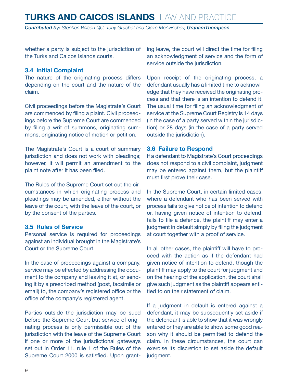<span id="page-8-0"></span>*Contributed by: Stephen Wilson QC, Tony Gruchot and Claire McAvinchey, GrahamThompson*

whether a party is subject to the jurisdiction of the Turks and Caicos Islands courts.

#### **3.4 Initial Complaint**

The nature of the originating process differs depending on the court and the nature of the claim.

Civil proceedings before the Magistrate's Court are commenced by filing a plaint. Civil proceedings before the Supreme Court are commenced by filing a writ of summons, originating summons, originating notice of motion or petition.

The Magistrate's Court is a court of summary jurisdiction and does not work with pleadings; however, it will permit an amendment to the plaint note after it has been filed.

The Rules of the Supreme Court set out the circumstances in which originating process and pleadings may be amended, either without the leave of the court, with the leave of the court, or by the consent of the parties.

#### **3.5 Rules of Service**

Personal service is required for proceedings against an individual brought in the Magistrate's Court or the Supreme Court.

In the case of proceedings against a company, service may be effected by addressing the document to the company and leaving it at, or sending it by a prescribed method (post, facsimile or email) to, the company's registered office or the office of the company's registered agent.

Parties outside the jurisdiction may be sued before the Supreme Court but service of originating process is only permissible out of the jurisdiction with the leave of the Supreme Court if one or more of the jurisdictional gateways set out in Order 11, rule 1 of the Rules of the Supreme Court 2000 is satisfied. Upon granting leave, the court will direct the time for filing an acknowledgment of service and the form of service outside the jurisdiction.

Upon receipt of the originating process, a defendant usually has a limited time to acknowledge that they have received the originating process and that there is an intention to defend it. The usual time for filing an acknowledgment of service at the Supreme Court Registry is 14 days (in the case of a party served within the jurisdiction) or 28 days (in the case of a party served outside the jurisdiction).

#### **3.6 Failure to Respond**

If a defendant to Magistrate's Court proceedings does not respond to a civil complaint, judgment may be entered against them, but the plaintiff must first prove their case.

In the Supreme Court, in certain limited cases, where a defendant who has been served with process fails to give notice of intention to defend or, having given notice of intention to defend, fails to file a defence, the plaintiff may enter a judgment in default simply by filing the judgment at court together with a proof of service.

In all other cases, the plaintiff will have to proceed with the action as if the defendant had given notice of intention to defend, though the plaintiff may apply to the court for judgment and on the hearing of the application, the court shall give such judgment as the plaintiff appears entitled to on their statement of claim.

If a judgment in default is entered against a defendant, it may be subsequently set aside if the defendant is able to show that it was wrongly entered or they are able to show some good reason why it should be permitted to defend the claim. In these circumstances, the court can exercise its discretion to set aside the default judgment.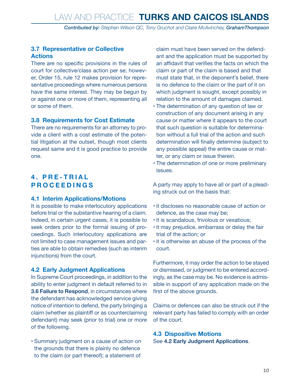#### <span id="page-9-0"></span>**3.7 Representative or Collective Actions**

There are no specific provisions in the rules of court for collective/class action per se; however, Order 15, rule 12 makes provision for representative proceedings where numerous persons have the same interest. They may be begun by or against one or more of them, representing all or some of them.

#### **3.8 Requirements for Cost Estimate**

There are no requirements for an attorney to provide a client with a cost estimate of the potential litigation at the outset, though most clients request same and it is good practice to provide one.

#### **4 . P R E - T R I A L PROCEEDINGS**

#### **4.1 Interim Applications/Motions**

It is possible to make interlocutory applications before trial or the substantive hearing of a claim. Indeed, in certain urgent cases, it is possible to seek orders prior to the formal issuing of proceedings. Such interlocutory applications are not limited to case management issues and parties are able to obtain remedies (such as interim injunctions) from the court.

#### **4.2 Early Judgment Applications**

In Supreme Court proceedings, in addition to the ability to enter judgment in default referred to in **3.6 Failure to Respond**, in circumstances where the defendant has acknowledged service giving notice of intention to defend, the party bringing a claim (whether as plaintiff or as counterclaiming defendant) may seek (prior to trial) one or more of the following.

• Summary judgment on a cause of action on the grounds that there is plainly no defence to the claim (or part thereof); a statement of

claim must have been served on the defendant and the application must be supported by an affidavit that verifies the facts on which the claim or part of the claim is based and that must state that, in the deponent's belief, there is no defence to the claim or the part of it on which judgment is sought, except possibly in relation to the amount of damages claimed.

- The determination of any question of law or construction of any document arising in any cause or matter where it appears to the court that such question is suitable for determination without a full trial of the action and such determination will finally determine (subject to any possible appeal) the entire cause or matter, or any claim or issue therein.
- The determination of one or more preliminary issues.

A party may apply to have all or part of a pleading struck out on the basis that:

- it discloses no reasonable cause of action or defence, as the case may be;
- $\cdot$  it is scandalous, frivolous or vexatious;
- it may prejudice, embarrass or delay the fair trial of the action; or
- it is otherwise an abuse of the process of the court.

Furthermore, it may order the action to be stayed or dismissed, or judgment to be entered accordingly, as the case may be. No evidence is admissible in support of any application made on the first of the above grounds.

Claims or defences can also be struck out if the relevant party has failed to comply with an order of the court.

**4.3 Dispositive Motions** See **4.2 Early Judgment Applications**.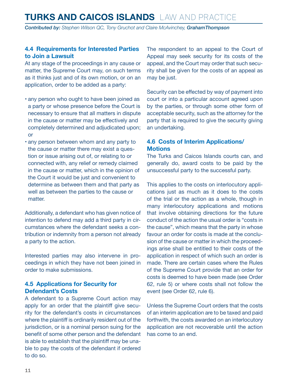<span id="page-10-0"></span>*Contributed by: Stephen Wilson QC, Tony Gruchot and Claire McAvinchey, GrahamThompson*

#### **4.4 Requirements for Interested Parties to Join a Lawsuit**

At any stage of the proceedings in any cause or matter, the Supreme Court may, on such terms as it thinks just and of its own motion, or on an application, order to be added as a party:

- any person who ought to have been joined as a party or whose presence before the Court is necessary to ensure that all matters in dispute in the cause or matter may be effectively and completely determined and adjudicated upon; or
- any person between whom and any party to the cause or matter there may exist a question or issue arising out of, or relating to or connected with, any relief or remedy claimed in the cause or matter, which in the opinion of the Court it would be just and convenient to determine as between them and that party as well as between the parties to the cause or matter.

Additionally, a defendant who has given notice of intention to defend may add a third party in circumstances where the defendant seeks a contribution or indemnity from a person not already a party to the action.

Interested parties may also intervene in proceedings in which they have not been joined in order to make submissions.

#### **4.5 Applications for Security for Defendant's Costs**

A defendant to a Supreme Court action may apply for an order that the plaintiff give security for the defendant's costs in circumstances where the plaintiff is ordinarily resident out of the jurisdiction, or is a nominal person suing for the benefit of some other person and the defendant is able to establish that the plaintiff may be unable to pay the costs of the defendant if ordered to do so.

The respondent to an appeal to the Court of Appeal may seek security for its costs of the appeal, and the Court may order that such security shall be given for the costs of an appeal as may be just.

Security can be effected by way of payment into court or into a particular account agreed upon by the parties, or through some other form of acceptable security, such as the attorney for the party that is required to give the security giving an undertaking.

#### **4.6 Costs of Interim Applications/ Motions**

The Turks and Caicos Islands courts can, and generally do, award costs to be paid by the unsuccessful party to the successful party.

This applies to the costs on interlocutory applications just as much as it does to the costs of the trial or the action as a whole, though in many interlocutory applications and motions that involve obtaining directions for the future conduct of the action the usual order is "costs in the cause", which means that the party in whose favour an order for costs is made at the conclusion of the cause or matter in which the proceedings arise shall be entitled to their costs of the application in respect of which such an order is made. There are certain cases where the Rules of the Supreme Court provide that an order for costs is deemed to have been made (see Order 62, rule 5) or where costs shall not follow the event (see Order 62, rule 6).

Unless the Supreme Court orders that the costs of an interim application are to be taxed and paid forthwith, the costs awarded on an interlocutory application are not recoverable until the action has come to an end.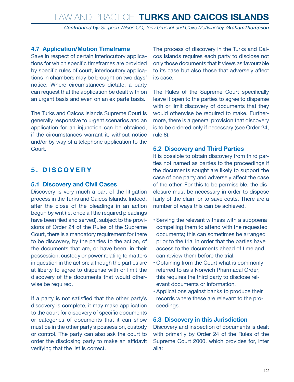*Contributed by: Stephen Wilson QC, Tony Gruchot and Claire McAvinchey, GrahamThompson*

#### <span id="page-11-0"></span>**4.7 Application/Motion Timeframe**

Save in respect of certain interlocutory applications for which specific timeframes are provided by specific rules of court, interlocutory applications in chambers may be brought on two days' notice. Where circumstances dictate, a party can request that the application be dealt with on an urgent basis and even on an ex parte basis.

The Turks and Caicos Islands Supreme Court is generally responsive to urgent scenarios and an application for an injunction can be obtained, if the circumstances warrant it, without notice and/or by way of a telephone application to the Court.

#### **5. DISCOVERY**

#### **5.1 Discovery and Civil Cases**

Discovery is very much a part of the litigation process in the Turks and Caicos Islands. Indeed, after the close of the pleadings in an action begun by writ (ie, once all the required pleadings have been filed and served), subject to the provisions of Order 24 of the Rules of the Supreme Court, there is a mandatory requirement for there to be discovery, by the parties to the action, of the documents that are, or have been, in their possession, custody or power relating to matters in question in the action; although the parties are at liberty to agree to dispense with or limit the discovery of the documents that would otherwise be required.

If a party is not satisfied that the other party's discovery is complete, it may make application to the court for discovery of specific documents or categories of documents that it can show must be in the other party's possession, custody or control. The party can also ask the court to order the disclosing party to make an affidavit verifying that the list is correct.

The process of discovery in the Turks and Caicos Islands requires each party to disclose not only those documents that it views as favourable to its case but also those that adversely affect its case.

The Rules of the Supreme Court specifically leave it open to the parties to agree to dispense with or limit discovery of documents that they would otherwise be required to make. Furthermore, there is a general provision that discovery is to be ordered only if necessary (see Order 24, rule 8).

#### **5.2 Discovery and Third Parties**

It is possible to obtain discovery from third parties not named as parties to the proceedings if the documents sought are likely to support the case of one party and adversely affect the case of the other. For this to be permissible, the disclosure must be necessary in order to dispose fairly of the claim or to save costs. There are a number of ways this can be achieved.

- • Serving the relevant witness with a subpoena compelling them to attend with the requested documents; this can sometimes be arranged prior to the trial in order that the parties have access to the documents ahead of time and can review them before the trial.
- • Obtaining from the Court what is commonly referred to as a Norwich Pharmacal Order; this requires the third party to disclose relevant documents or information.
- • Applications against banks to produce their records where these are relevant to the proceedings.

#### **5.3 Discovery in this Jurisdiction**

Discovery and inspection of documents is dealt with primarily by Order 24 of the Rules of the Supreme Court 2000, which provides for, inter alia: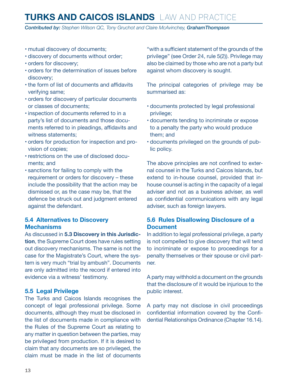<span id="page-12-0"></span>*Contributed by: Stephen Wilson QC, Tony Gruchot and Claire McAvinchey, GrahamThompson*

- mutual discovery of documents;
- • discovery of documents without order;
- orders for discovery;
- • orders for the determination of issues before discovery;
- the form of list of documents and affidavits verifying same;
- • orders for discovery of particular documents or classes of documents;
- inspection of documents referred to in a party's list of documents and those documents referred to in pleadings, affidavits and witness statements;
- • orders for production for inspection and provision of copies;
- restrictions on the use of disclosed documents; and
- • sanctions for failing to comply with the requirement or orders for discovery – these include the possibility that the action may be dismissed or, as the case may be, that the defence be struck out and judgment entered against the defendant.

#### **5.4 Alternatives to Discovery Mechanisms**

As discussed in **5.3 Discovery in this Jurisdiction**, the Supreme Court does have rules setting out discovery mechanisms. The same is not the case for the Magistrate's Court, where the system is very much "trial by ambush". Documents are only admitted into the record if entered into evidence via a witness' testimony.

#### **5.5 Legal Privilege**

The Turks and Caicos Islands recognises the concept of legal professional privilege. Some documents, although they must be disclosed in the list of documents made in compliance with the Rules of the Supreme Court as relating to any matter in question between the parties, may be privileged from production. If it is desired to claim that any documents are so privileged, the claim must be made in the list of documents

"with a sufficient statement of the grounds of the privilege" (see Order 24, rule 5(2)). Privilege may also be claimed by those who are not a party but against whom discovery is sought.

The principal categories of privilege may be summarised as:

- • documents protected by legal professional privilege;
- • documents tending to incriminate or expose to a penalty the party who would produce them; and
- • documents privileged on the grounds of public policy.

The above principles are not confined to external counsel in the Turks and Caicos Islands, but extend to in-house counsel, provided that inhouse counsel is acting in the capacity of a legal adviser and not as a business adviser, as well as confidential communications with any legal adviser, such as foreign lawyers.

#### **5.6 Rules Disallowing Disclosure of a Document**

In addition to legal professional privilege, a party is not compelled to give discovery that will tend to incriminate or expose to proceedings for a penalty themselves or their spouse or civil partner.

A party may withhold a document on the grounds that the disclosure of it would be injurious to the public interest.

A party may not disclose in civil proceedings confidential information covered by the Confidential Relationships Ordinance (Chapter 16.14).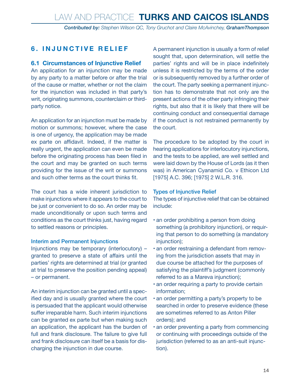#### <span id="page-13-0"></span>**6. INJUNCTIVE RELIEF**

#### **6.1 Circumstances of Injunctive Relief**

An application for an injunction may be made by any party to a matter before or after the trial of the cause or matter, whether or not the claim for the injunction was included in that party's writ, originating summons, counterclaim or thirdparty notice.

An application for an injunction must be made by motion or summons; however, where the case is one of urgency, the application may be made ex parte on affidavit. Indeed, if the matter is really urgent, the application can even be made before the originating process has been filed in the court and may be granted on such terms providing for the issue of the writ or summons and such other terms as the court thinks fit.

The court has a wide inherent jurisdiction to make injunctions where it appears to the court to be just or convenient to do so. An order may be made unconditionally or upon such terms and conditions as the court thinks just, having regard to settled reasons or principles.

#### Interim and Permanent Injunctions

Injunctions may be temporary (interlocutory) – granted to preserve a state of affairs until the parties' rights are determined at trial (or granted at trial to preserve the position pending appeal) – or permanent.

An interim injunction can be granted until a specified day and is usually granted where the court is persuaded that the applicant would otherwise suffer irreparable harm. Such interim injunctions can be granted ex parte but when making such an application, the applicant has the burden of full and frank disclosure. The failure to give full and frank disclosure can itself be a basis for discharging the injunction in due course.

A permanent injunction is usually a form of relief sought that, upon determination, will settle the parties' rights and will be in place indefinitely unless it is restricted by the terms of the order or is subsequently removed by a further order of the court. The party seeking a permanent injunction has to demonstrate that not only are the present actions of the other party infringing their rights, but also that it is likely that there will be continuing conduct and consequential damage if the conduct is not restrained permanently by the court.

The procedure to be adopted by the court in hearing applications for interlocutory injunctions, and the tests to be applied, are well settled and were laid down by the House of Lords (as it then was) in American Cyanamid Co. v Ethicon Ltd [1975] A.C. 396; [1975] 2 W.L.R. 316.

#### Types of Injunctive Relief

The types of injunctive relief that can be obtained include:

- an order prohibiting a person from doing something (a prohibitory injunction), or requiring that person to do something (a mandatory injunction);
- an order restraining a defendant from removing from the jurisdiction assets that may in due course be attached for the purposes of satisfying the plaintiff's judgment (commonly referred to as a Mareva injunction);
- an order requiring a party to provide certain information;
- an order permitting a party's property to be searched in order to preserve evidence (these are sometimes referred to as Anton Piller orders); and
- an order preventing a party from commencing or continuing with proceedings outside of the jurisdiction (referred to as an anti-suit injunction).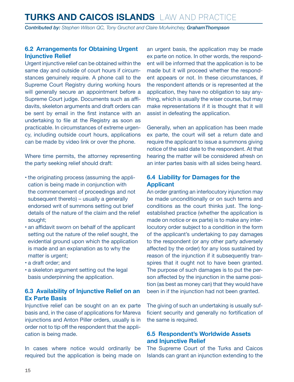<span id="page-14-0"></span>*Contributed by: Stephen Wilson QC, Tony Gruchot and Claire McAvinchey, GrahamThompson*

#### **6.2 Arrangements for Obtaining Urgent Injunctive Relief**

Urgent injunctive relief can be obtained within the same day and outside of court hours if circumstances genuinely require. A phone call to the Supreme Court Registry during working hours will generally secure an appointment before a Supreme Court judge. Documents such as affidavits, skeleton arguments and draft orders can be sent by email in the first instance with an undertaking to file at the Registry as soon as practicable. In circumstances of extreme urgency, including outside court hours, applications can be made by video link or over the phone.

Where time permits, the attorney representing the party seeking relief should draft:

- the originating process (assuming the application is being made in conjunction with the commencement of proceedings and not subsequent thereto) – usually a generally endorsed writ of summons setting out brief details of the nature of the claim and the relief sought;
- an affidavit sworn on behalf of the applicant setting out the nature of the relief sought, the evidential ground upon which the application is made and an explanation as to why the matter is urgent;
- • a draft order; and
- a skeleton argument setting out the legal basis underpinning the application.

#### **6.3 Availability of Injunctive Relief on an Ex Parte Basis**

Injunctive relief can be sought on an ex parte basis and, in the case of applications for Mareva injunctions and Anton Piller orders, usually is in order not to tip off the respondent that the application is being made.

In cases where notice would ordinarily be required but the application is being made on an urgent basis, the application may be made ex parte on notice. In other words, the respondent will be informed that the application is to be made but it will proceed whether the respondent appears or not. In these circumstances, if the respondent attends or is represented at the application, they have no obligation to say anything, which is usually the wiser course, but may make representations if it is thought that it will assist in defeating the application.

Generally, when an application has been made ex parte, the court will set a return date and require the applicant to issue a summons giving notice of the said date to the respondent. At that hearing the matter will be considered afresh on an inter partes basis with all sides being heard.

#### **6.4 Liability for Damages for the Applicant**

An order granting an interlocutory injunction may be made unconditionally or on such terms and conditions as the court thinks just. The longestablished practice (whether the application is made on notice or ex parte) is to make any interlocutory order subject to a condition in the form of the applicant's undertaking to pay damages to the respondent (or any other party adversely affected by the order) for any loss sustained by reason of the injunction if it subsequently transpires that it ought not to have been granted. The purpose of such damages is to put the person affected by the injunction in the same position (as best as money can) that they would have been in if the injunction had not been granted.

The giving of such an undertaking is usually sufficient security and generally no fortification of the same is required.

#### **6.5 Respondent's Worldwide Assets and Injunctive Relief**

The Supreme Court of the Turks and Caicos Islands can grant an injunction extending to the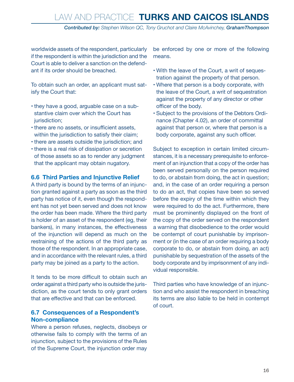*Contributed by: Stephen Wilson QC, Tony Gruchot and Claire McAvinchey, GrahamThompson*

<span id="page-15-0"></span>worldwide assets of the respondent, particularly if the respondent is within the jurisdiction and the Court is able to deliver a sanction on the defendant if its order should be breached.

To obtain such an order, an applicant must satisfy the Court that:

- they have a good, arguable case on a substantive claim over which the Court has jurisdiction;
- there are no assets, or insufficient assets, within the jurisdiction to satisfy their claim;
- there are assets outside the jurisdiction; and
- there is a real risk of dissipation or secretion of those assets so as to render any judgment that the applicant may obtain nugatory.

#### **6.6 Third Parties and Injunctive Relief**

A third party is bound by the terms of an injunction granted against a party as soon as the third party has notice of it, even though the respondent has not yet been served and does not know the order has been made. Where the third party is holder of an asset of the respondent (eg, their bankers), in many instances, the effectiveness of the injunction will depend as much on the restraining of the actions of the third party as those of the respondent. In an appropriate case, and in accordance with the relevant rules, a third party may be joined as a party to the action.

It tends to be more difficult to obtain such an order against a third party who is outside the jurisdiction, as the court tends to only grant orders that are effective and that can be enforced.

#### **6.7 Consequences of a Respondent's Non-compliance**

Where a person refuses, neglects, disobeys or otherwise fails to comply with the terms of an injunction, subject to the provisions of the Rules of the Supreme Court, the injunction order may be enforced by one or more of the following means.

- • With the leave of the Court, a writ of sequestration against the property of that person.
- • Where that person is a body corporate, with the leave of the Court, a writ of sequestration against the property of any director or other officer of the body.
- • Subject to the provisions of the Debtors Ordinance (Chapter 4.02), an order of committal against that person or, where that person is a body corporate, against any such officer.

Subject to exception in certain limited circumstances, it is a necessary prerequisite to enforcement of an injunction that a copy of the order has been served personally on the person required to do, or abstain from doing, the act in question; and, in the case of an order requiring a person to do an act, that copies have been so served before the expiry of the time within which they were required to do the act. Furthermore, there must be prominently displayed on the front of the copy of the order served on the respondent a warning that disobedience to the order would be contempt of court punishable by imprisonment or (in the case of an order requiring a body corporate to do, or abstain from doing, an act) punishable by sequestration of the assets of the body corporate and by imprisonment of any individual responsible.

Third parties who have knowledge of an injunction and who assist the respondent in breaching its terms are also liable to be held in contempt of court.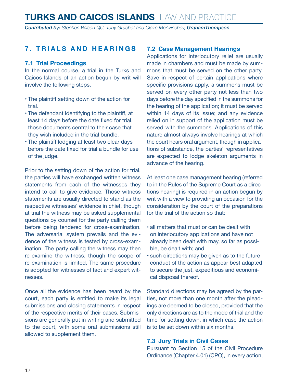<span id="page-16-0"></span>*Contributed by: Stephen Wilson QC, Tony Gruchot and Claire McAvinchey, GrahamThompson*

#### **7. TRIALS AND HEARINGS**

#### **7.1 Trial Proceedings**

In the normal course, a trial in the Turks and Caicos Islands of an action begun by writ will involve the following steps.

- • The plaintiff setting down of the action for trial.
- The defendant identifying to the plaintiff, at least 14 days before the date fixed for trial, those documents central to their case that they wish included in the trial bundle.
- The plaintiff lodging at least two clear days before the date fixed for trial a bundle for use of the judge.

Prior to the setting down of the action for trial, the parties will have exchanged written witness statements from each of the witnesses they intend to call to give evidence. Those witness statements are usually directed to stand as the respective witnesses' evidence in chief, though at trial the witness may be asked supplemental questions by counsel for the party calling them before being tendered for cross-examination. The adversarial system prevails and the evidence of the witness is tested by cross-examination. The party calling the witness may then re-examine the witness, though the scope of re-examination is limited. The same procedure is adopted for witnesses of fact and expert witnesses.

Once all the evidence has been heard by the court, each party is entitled to make its legal submissions and closing statements in respect of the respective merits of their cases. Submissions are generally put in writing and submitted to the court, with some oral submissions still allowed to supplement them.

#### **7.2 Case Management Hearings**

Applications for interlocutory relief are usually made in chambers and must be made by summons that must be served on the other party. Save in respect of certain applications where specific provisions apply, a summons must be served on every other party not less than two days before the day specified in the summons for the hearing of the application; it must be served within 14 days of its issue; and any evidence relied on in support of the application must be served with the summons. Applications of this nature almost always involve hearings at which the court hears oral argument, though in applications of substance, the parties' representatives are expected to lodge skeleton arguments in advance of the hearing.

At least one case management hearing (referred to in the Rules of the Supreme Court as a directions hearing) is required in an action begun by writ with a view to providing an occasion for the consideration by the court of the preparations for the trial of the action so that:

- all matters that must or can be dealt with on interlocutory applications and have not already been dealt with may, so far as possible, be dealt with; and
- • such directions may be given as to the future conduct of the action as appear best adapted to secure the just, expeditious and economical disposal thereof.

Standard directions may be agreed by the parties, not more than one month after the pleadings are deemed to be closed, provided that the only directions are as to the mode of trial and the time for setting down, in which case the action is to be set down within six months.

#### **7.3 Jury Trials in Civil Cases**

Pursuant to Section 15 of the Civil Procedure Ordinance (Chapter 4.01) (CPO), in every action,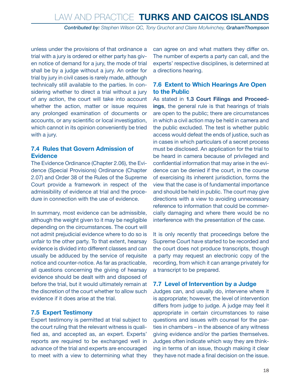*Contributed by: Stephen Wilson QC, Tony Gruchot and Claire McAvinchey, GrahamThompson*

<span id="page-17-0"></span>unless under the provisions of that ordinance a trial with a jury is ordered or either party has given notice of demand for a jury, the mode of trial shall be by a judge without a jury. An order for trial by jury in civil cases is rarely made, although technically still available to the parties. In considering whether to direct a trial without a jury of any action, the court will take into account whether the action, matter or issue requires any prolonged examination of documents or accounts, or any scientific or local investigation, which cannot in its opinion conveniently be tried with a jury.

#### **7.4 Rules that Govern Admission of Evidence**

The Evidence Ordinance (Chapter 2.06), the Evidence (Special Provisions) Ordinance (Chapter 2.07) and Order 38 of the Rules of the Supreme Court provide a framework in respect of the admissibility of evidence at trial and the procedure in connection with the use of evidence.

In summary, most evidence can be admissible, although the weight given to it may be negligible depending on the circumstances. The court will not admit prejudicial evidence where to do so is unfair to the other party. To that extent, hearsay evidence is divided into different classes and can usually be adduced by the service of requisite notice and counter-notice. As far as practicable, all questions concerning the giving of hearsay evidence should be dealt with and disposed of before the trial, but it would ultimately remain at the discretion of the court whether to allow such evidence if it does arise at the trial.

#### **7.5 Expert Testimony**

Expert testimony is permitted at trial subject to the court ruling that the relevant witness is qualified as, and accepted as, an expert. Experts' reports are required to be exchanged well in advance of the trial and experts are encouraged to meet with a view to determining what they can agree on and what matters they differ on. The number of experts a party can call, and the experts' respective disciplines, is determined at a directions hearing.

#### **7.6 Extent to Which Hearings Are Open to the Public**

As stated in **1.3 Court Filings and Proceedings**, the general rule is that hearings of trials are open to the public; there are circumstances in which a civil action may be held in camera and the public excluded. The test is whether public access would defeat the ends of justice, such as in cases in which particulars of a secret process must be disclosed. An application for the trial to be heard in camera because of privileged and confidential information that may arise in the evidence can be denied if the court, in the course of exercising its inherent jurisdiction, forms the view that the case is of fundamental importance and should be held in public. The court may give directions with a view to avoiding unnecessary reference to information that could be commercially damaging and where there would be no interference with the presentation of the case.

It is only recently that proceedings before the Supreme Court have started to be recorded and the court does not produce transcripts, though a party may request an electronic copy of the recording, from which it can arrange privately for a transcript to be prepared.

#### **7.7 Level of Intervention by a Judge**

Judges can, and usually do, intervene where it is appropriate; however, the level of intervention differs from judge to judge. A judge may feel it appropriate in certain circumstances to raise questions and issues with counsel for the parties in chambers – in the absence of any witness giving evidence and/or the parties themselves. Judges often indicate which way they are thinking in terms of an issue, though making it clear they have not made a final decision on the issue.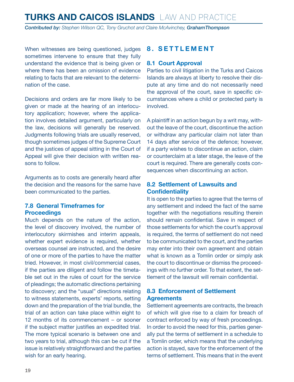<span id="page-18-0"></span>*Contributed by: Stephen Wilson QC, Tony Gruchot and Claire McAvinchey, GrahamThompson*

When witnesses are being questioned, judges sometimes intervene to ensure that they fully understand the evidence that is being given or where there has been an omission of evidence relating to facts that are relevant to the determination of the case.

Decisions and orders are far more likely to be given or made at the hearing of an interlocutory application; however, where the application involves detailed argument, particularly on the law, decisions will generally be reserved. Judgments following trials are usually reserved, though sometimes judges of the Supreme Court and the justices of appeal sitting in the Court of Appeal will give their decision with written reasons to follow.

Arguments as to costs are generally heard after the decision and the reasons for the same have been communicated to the parties.

#### **7.8 General Timeframes for Proceedings**

Much depends on the nature of the action, the level of discovery involved, the number of interlocutory skirmishes and interim appeals, whether expert evidence is required, whether overseas counsel are instructed, and the desire of one or more of the parties to have the matter tried. However, in most civil/commercial cases, if the parties are diligent and follow the timetable set out in the rules of court for the service of pleadings; the automatic directions pertaining to discovery; and the "usual" directions relating to witness statements, experts' reports, setting down and the preparation of the trial bundle, the trial of an action can take place within eight to 12 months of its commencement – or sooner if the subject matter justifies an expedited trial. The more typical scenario is between one and two years to trial, although this can be cut if the issue is relatively straightforward and the parties wish for an early hearing.

#### **8. SETTLEMENT**

#### **8.1 Court Approval**

Parties to civil litigation in the Turks and Caicos Islands are always at liberty to resolve their dispute at any time and do not necessarily need the approval of the court, save in specific circumstances where a child or protected party is involved.

A plaintiff in an action begun by a writ may, without the leave of the court, discontinue the action or withdraw any particular claim not later than 14 days after service of the defence; however, if a party wishes to discontinue an action, claim or counterclaim at a later stage, the leave of the court is required. There are generally costs consequences when discontinuing an action.

#### **8.2 Settlement of Lawsuits and Confidentiality**

It is open to the parties to agree that the terms of any settlement and indeed the fact of the same together with the negotiations resulting therein should remain confidential. Save in respect of those settlements for which the court's approval is required, the terms of settlement do not need to be communicated to the court, and the parties may enter into their own agreement and obtain what is known as a Tomlin order or simply ask the court to discontinue or dismiss the proceedings with no further order. To that extent, the settlement of the lawsuit will remain confidential.

#### **8.3 Enforcement of Settlement Agreements**

Settlement agreements are contracts, the breach of which will give rise to a claim for breach of contract enforced by way of fresh proceedings. In order to avoid the need for this, parties generally put the terms of settlement in a schedule to a Tomlin order, which means that the underlying action is stayed, save for the enforcement of the terms of settlement. This means that in the event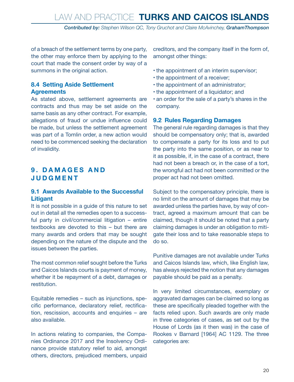*Contributed by: Stephen Wilson QC, Tony Gruchot and Claire McAvinchey, GrahamThompson*

<span id="page-19-0"></span>of a breach of the settlement terms by one party, the other may enforce them by applying to the court that made the consent order by way of a summons in the original action.

#### **8.4 Setting Aside Settlement Agreements**

As stated above, settlement agreements are contracts and thus may be set aside on the same basis as any other contract. For example, allegations of fraud or undue influence could be made, but unless the settlement agreement was part of a Tomlin order, a new action would need to be commenced seeking the declaration of invalidity.

#### **9 . D A M A G E S A N D JUDGMENT**

#### **9.1 Awards Available to the Successful Litigant**

It is not possible in a guide of this nature to set out in detail all the remedies open to a successful party in civil/commercial litigation – entire textbooks are devoted to this – but there are many awards and orders that may be sought depending on the nature of the dispute and the issues between the parties.

The most common relief sought before the Turks and Caicos Islands courts is payment of money, whether it be repayment of a debt, damages or restitution.

Equitable remedies – such as injunctions, specific performance, declaratory relief, rectification, rescission, accounts and enquiries – are also available.

In actions relating to companies, the Companies Ordinance 2017 and the Insolvency Ordinance provide statutory relief to aid, amongst others, directors, prejudiced members, unpaid creditors, and the company itself in the form of, amongst other things:

- the appointment of an interim supervisor;
- the appointment of a receiver;
- the appointment of an administrator;
- the appointment of a liquidator; and
- an order for the sale of a party's shares in the company.

#### **9.2 Rules Regarding Damages**

The general rule regarding damages is that they should be compensatory only; that is, awarded to compensate a party for its loss and to put the party into the same position, or as near to it as possible, if, in the case of a contract, there had not been a breach or, in the case of a tort, the wrongful act had not been committed or the proper act had not been omitted.

Subject to the compensatory principle, there is no limit on the amount of damages that may be awarded unless the parties have, by way of contract, agreed a maximum amount that can be claimed, though it should be noted that a party claiming damages is under an obligation to mitigate their loss and to take reasonable steps to do so.

Punitive damages are not available under Turks and Caicos Islands law, which, like English law, has always rejected the notion that any damages payable should be paid as a penalty.

In very limited circumstances, exemplary or aggravated damages can be claimed so long as these are specifically pleaded together with the facts relied upon. Such awards are only made in three categories of cases, as set out by the House of Lords (as it then was) in the case of Rookes v Barnard [1964] AC 1129. The three categories are: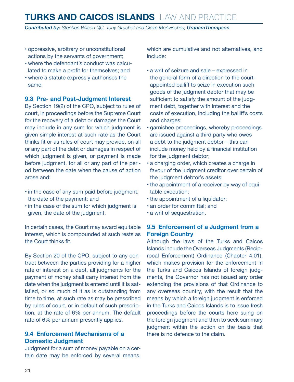<span id="page-20-0"></span>*Contributed by: Stephen Wilson QC, Tony Gruchot and Claire McAvinchey, GrahamThompson*

- • oppressive, arbitrary or unconstitutional actions by the servants of government;
- • where the defendant's conduct was calculated to make a profit for themselves; and
- • where a statute expressly authorises the same.

#### **9.3 Pre- and Post-Judgment Interest**

By Section 19(2) of the CPO, subject to rules of court, in proceedings before the Supreme Court for the recovery of a debt or damages the Court may include in any sum for which judgment is given simple interest at such rate as the Court thinks fit or as rules of court may provide, on all or any part of the debt or damages in respect of which judgment is given, or payment is made before judgment, for all or any part of the period between the date when the cause of action arose and:

- in the case of any sum paid before judgment, the date of the payment; and
- in the case of the sum for which judgment is given, the date of the judgment.

In certain cases, the Court may award equitable interest, which is compounded at such rests as the Court thinks fit.

By Section 20 of the CPO, subject to any contract between the parties providing for a higher rate of interest on a debt, all judgments for the payment of money shall carry interest from the date when the judgment is entered until it is satisfied, or so much of it as is outstanding from time to time, at such rate as may be prescribed by rules of court, or in default of such prescription, at the rate of 6% per annum. The default rate of 6% per annum presently applies.

#### **9.4 Enforcement Mechanisms of a Domestic Judgment**

Judgment for a sum of money payable on a certain date may be enforced by several means, which are cumulative and not alternatives, and include:

- a writ of seizure and sale expressed in the general form of a direction to the courtappointed bailiff to seize in execution such goods of the judgment debtor that may be sufficient to satisfy the amount of the judgment debt, together with interest and the costs of execution, including the bailiff's costs and charges;
- garnishee proceedings, whereby proceedings are issued against a third party who owes a debt to the judgment debtor – this can include money held by a financial institution for the judgment debtor;
- a charging order, which creates a charge in favour of the judgment creditor over certain of the judgment debtor's assets;
- the appointment of a receiver by way of equitable execution;
- the appointment of a liquidator;
- an order for committal: and
- a writ of sequestration.

#### **9.5 Enforcement of a Judgment from a Foreign Country**

Although the laws of the Turks and Caicos Islands include the Overseas Judgments (Reciprocal Enforcement) Ordinance (Chapter 4.01), which makes provision for the enforcement in the Turks and Caicos Islands of foreign judgments, the Governor has not issued any order extending the provisions of that Ordinance to any overseas country, with the result that the means by which a foreign judgment is enforced in the Turks and Caicos Islands is to issue fresh proceedings before the courts here suing on the foreign judgment and then to seek summary judgment within the action on the basis that there is no defence to the claim.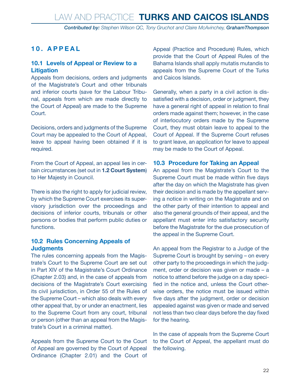*Contributed by: Stephen Wilson QC, Tony Gruchot and Claire McAvinchey, GrahamThompson*

#### <span id="page-21-0"></span>**10. APPEAL**

#### **10.1 Levels of Appeal or Review to a Litigation**

Appeals from decisions, orders and judgments of the Magistrate's Court and other tribunals and inferior courts (save for the Labour Tribunal, appeals from which are made directly to the Court of Appeal) are made to the Supreme Court.

Decisions, orders and judgments of the Supreme Court may be appealed to the Court of Appeal, leave to appeal having been obtained if it is required.

From the Court of Appeal, an appeal lies in certain circumstances (set out in **1.2 Court System**) to Her Majesty in Council.

There is also the right to apply for judicial review, by which the Supreme Court exercises its supervisory jurisdiction over the proceedings and decisions of inferior courts, tribunals or other persons or bodies that perform public duties or functions.

#### **10.2 Rules Concerning Appeals of Judgments**

The rules concerning appeals from the Magistrate's Court to the Supreme Court are set out in Part XIV of the Magistrate's Court Ordinance (Chapter 2.03) and, in the case of appeals from decisions of the Magistrate's Court exercising its civil jurisdiction, in Order 55 of the Rules of the Supreme Court – which also deals with every other appeal that, by or under an enactment, lies to the Supreme Court from any court, tribunal or person (other than an appeal from the Magistrate's Court in a criminal matter).

Appeals from the Supreme Court to the Court of Appeal are governed by the Court of Appeal Ordinance (Chapter 2.01) and the Court of

Appeal (Practice and Procedure) Rules, which provide that the Court of Appeal Rules of the Bahama Islands shall apply mutatis mutandis to appeals from the Supreme Court of the Turks and Caicos Islands.

Generally, when a party in a civil action is dissatisfied with a decision, order or judgment, they have a general right of appeal in relation to final orders made against them; however, in the case of interlocutory orders made by the Supreme Court, they must obtain leave to appeal to the Court of Appeal. If the Supreme Court refuses to grant leave, an application for leave to appeal may be made to the Court of Appeal.

#### **10.3 Procedure for Taking an Appeal**

An appeal from the Magistrate's Court to the Supreme Court must be made within five days after the day on which the Magistrate has given their decision and is made by the appellant serving a notice in writing on the Magistrate and on the other party of their intention to appeal and also the general grounds of their appeal, and the appellant must enter into satisfactory security before the Magistrate for the due prosecution of the appeal in the Supreme Court.

An appeal from the Registrar to a Judge of the Supreme Court is brought by serving – on every other party to the proceedings in which the judgment, order or decision was given or made – a notice to attend before the judge on a day specified in the notice and, unless the Court otherwise orders, the notice must be issued within five days after the judgment, order or decision appealed against was given or made and served not less than two clear days before the day fixed for the hearing.

In the case of appeals from the Supreme Court to the Court of Appeal, the appellant must do the following.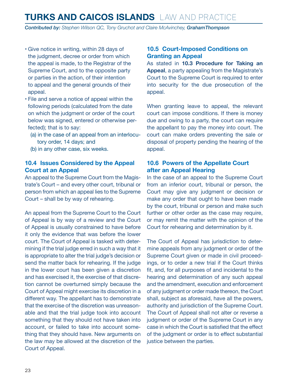<span id="page-22-0"></span>*Contributed by: Stephen Wilson QC, Tony Gruchot and Claire McAvinchey, GrahamThompson*

- • Give notice in writing, within 28 days of the judgment, decree or order from which the appeal is made, to the Registrar of the Supreme Court, and to the opposite party or parties in the action, of their intention to appeal and the general grounds of their appeal.
- • File and serve a notice of appeal within the following periods (calculated from the date on which the judgment or order of the court below was signed, entered or otherwise perfected); that is to say:
	- (a) in the case of an appeal from an interlocutory order, 14 days; and
	- (b) in any other case, six weeks.

#### **10.4 Issues Considered by the Appeal Court at an Appeal**

An appeal to the Supreme Court from the Magistrate's Court – and every other court, tribunal or person from which an appeal lies to the Supreme Court – shall be by way of rehearing.

An appeal from the Supreme Court to the Court of Appeal is by way of a review and the Court of Appeal is usually constrained to have before it only the evidence that was before the lower court. The Court of Appeal is tasked with determining if the trial judge erred in such a way that it is appropriate to alter the trial judge's decision or send the matter back for rehearing. If the judge in the lower court has been given a discretion and has exercised it, the exercise of that discretion cannot be overturned simply because the Court of Appeal might exercise its discretion in a different way. The appellant has to demonstrate that the exercise of the discretion was unreasonable and that the trial judge took into account something that they should not have taken into account, or failed to take into account something that they should have. New arguments on the law may be allowed at the discretion of the Court of Appeal.

#### **10.5 Court-Imposed Conditions on Granting an Appeal**

As stated in **10.3 Procedure for Taking an Appeal**, a party appealing from the Magistrate's Court to the Supreme Court is required to enter into security for the due prosecution of the appeal.

When granting leave to appeal, the relevant court can impose conditions. If there is money due and owing to a party, the court can require the appellant to pay the money into court. The court can make orders preventing the sale or disposal of property pending the hearing of the appeal.

#### **10.6 Powers of the Appellate Court after an Appeal Hearing**

In the case of an appeal to the Supreme Court from an inferior court, tribunal or person, the Court may give any judgment or decision or make any order that ought to have been made by the court, tribunal or person and make such further or other order as the case may require, or may remit the matter with the opinion of the Court for rehearing and determination by it.

The Court of Appeal has jurisdiction to determine appeals from any judgment or order of the Supreme Court given or made in civil proceedings, or to order a new trial if the Court thinks fit, and, for all purposes of and incidental to the hearing and determination of any such appeal and the amendment, execution and enforcement of any judgment or order made thereon, the Court shall, subject as aforesaid, have all the powers, authority and jurisdiction of the Supreme Court. The Court of Appeal shall not alter or reverse a judgment or order of the Supreme Court in any case in which the Court is satisfied that the effect of the judgment or order is to effect substantial justice between the parties.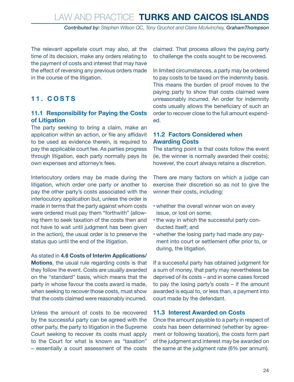*Contributed by: Stephen Wilson QC, Tony Gruchot and Claire McAvinchey, GrahamThompson*

<span id="page-23-0"></span>The relevant appellate court may also, at the time of its decision, make any orders relating to the payment of costs and interest that may have the effect of reversing any previous orders made in the course of the litigation.

#### **11. COSTS**

#### **11.1 Responsibility for Paying the Costs of Litigation**

The party seeking to bring a claim, make an application within an action, or file any affidavit to be used as evidence therein, is required to pay the applicable court fee. As parties progress through litigation, each party normally pays its own expenses and attorney's fees.

Interlocutory orders may be made during the litigation, which order one party or another to pay the other party's costs associated with the interlocutory application but, unless the order is made in terms that the party against whom costs were ordered must pay them "forthwith" (allowing them to seek taxation of the costs then and not have to wait until judgment has been given in the action), the usual order is to preserve the status quo until the end of the litigation.

#### As stated in **4.6 Costs of Interim Applications/**

**Motions**, the usual rule regarding costs is that they follow the event. Costs are usually awarded on the "standard" basis, which means that the party in whose favour the costs award is made, when seeking to recover those costs, must show that the costs claimed were reasonably incurred.

Unless the amount of costs to be recovered by the successful party can be agreed with the other party, the party to litigation in the Supreme Court seeking to recover its costs must apply to the Court for what is known as "taxation" – essentially a court assessment of the costs claimed. That process allows the paying party to challenge the costs sought to be recovered.

In limited circumstances, a party may be ordered to pay costs to be taxed on the indemnity basis. This means the burden of proof moves to the paying party to show that costs claimed were unreasonably incurred. An order for indemnity costs usually allows the beneficiary of such an order to recover close to the full amount expended.

#### **11.2 Factors Considered when Awarding Costs**

The starting point is that costs follow the event (ie, the winner is normally awarded their costs); however, the court always retains a discretion.

There are many factors on which a judge can exercise their discretion so as not to give the winner their costs, including:

- whether the overall winner won on every issue, or lost on some;
- the way in which the successful party conducted itself; and
- whether the losing party had made any payment into court or settlement offer prior to, or during, the litigation.

If a successful party has obtained judgment for a sum of money, that party may nevertheless be deprived of its costs – and in some cases forced to pay the losing party's costs – if the amount awarded is equal to, or less than, a payment into court made by the defendant.

#### **11.3 Interest Awarded on Costs**

Once the amount payable to a party in respect of costs has been determined (whether by agreement or following taxation), the costs form part of the judgment and interest may be awarded on the same at the judgment rate (6% per annum).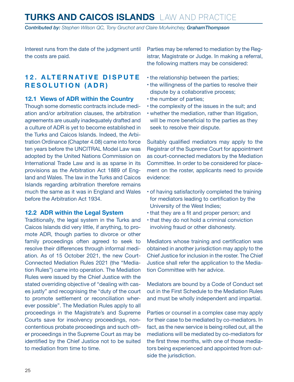<span id="page-24-0"></span>*Contributed by: Stephen Wilson QC, Tony Gruchot and Claire McAvinchey, GrahamThompson*

Interest runs from the date of the judgment until the costs are paid.

#### **12. ALTERNATIVE DISPUTE RESOLUTION (ADR)**

#### **12.1 Views of ADR within the Country**

Though some domestic contracts include mediation and/or arbitration clauses, the arbitration agreements are usually inadequately drafted and a culture of ADR is yet to become established in the Turks and Caicos Islands. Indeed, the Arbitration Ordinance (Chapter 4.08) came into force ten years before the UNCITRAL Model Law was adopted by the United Nations Commission on International Trade Law and is as sparse in its provisions as the Arbitration Act 1889 of England and Wales. The law in the Turks and Caicos Islands regarding arbitration therefore remains much the same as it was in England and Wales before the Arbitration Act 1934.

#### **12.2 ADR within the Legal System**

Traditionally, the legal system in the Turks and Caicos Islands did very little, if anything, to promote ADR, though parties to divorce or other family proceedings often agreed to seek to resolve their differences through informal mediation. As of 15 October 2021, the new Court-Connected Mediation Rules 2021 (the "Mediation Rules") came into operation. The Mediation Rules were issued by the Chief Justice with the stated overriding objective of "dealing with cases justly" and recognising the "duty of the court to promote settlement or reconciliation wherever possible". The Mediation Rules apply to all proceedings in the Magistrate's and Supreme Courts save for insolvency proceedings, noncontentious probate proceedings and such other proceedings in the Supreme Court as may be identified by the Chief Justice not to be suited to mediation from time to time.

Parties may be referred to mediation by the Registrar, Magistrate or Judge. In making a referral, the following matters may be considered:

- the relationship between the parties;
- the willingness of the parties to resolve their dispute by a collaborative process;
- the number of parties;
- the complexity of the issues in the suit; and
- • whether the mediation, rather than litigation, will be more beneficial to the parties as they seek to resolve their dispute.

Suitably qualified mediators may apply to the Registrar of the Supreme Court for appointment as court-connected mediators by the Mediation Committee. In order to be considered for placement on the roster, applicants need to provide evidence:

- of having satisfactorily completed the training for mediators leading to certification by the University of the West Indies;
- that they are a fit and proper person; and
- that they do not hold a criminal conviction involving fraud or other dishonesty.

Mediators whose training and certification was obtained in another jurisdiction may apply to the Chief Justice for inclusion in the roster. The Chief Justice shall refer the application to the Mediation Committee with her advice.

Mediators are bound by a Code of Conduct set out in the First Schedule to the Mediation Rules and must be wholly independent and impartial.

Parties or counsel in a complex case may apply for their case to be mediated by co-mediators. In fact, as the new service is being rolled out, all the mediations will be mediated by co-mediators for the first three months, with one of those mediators being experienced and appointed from outside the jurisdiction.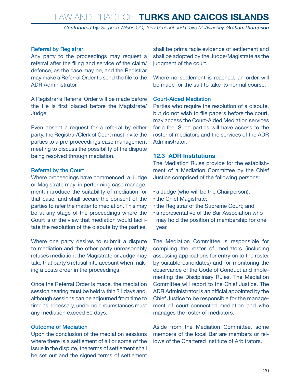*Contributed by: Stephen Wilson QC, Tony Gruchot and Claire McAvinchey, GrahamThompson*

#### <span id="page-25-0"></span>Referral by Registrar

Any party to the proceedings may request a referral after the filing and service of the claim/ defence, as the case may be, and the Registrar may make a Referral Order to send the file to the ADR Administrator.

A Registrar's Referral Order will be made before the file is first placed before the Magistrate/ Judge.

Even absent a request for a referral by either party, the Registrar/Clerk of Court must invite the parties to a pre-proceedings case management meeting to discuss the possibility of the dispute being resolved through mediation.

#### Referral by the Court

Where proceedings have commenced, a Judge or Magistrate may, in performing case management, introduce the suitability of mediation for that case, and shall secure the consent of the parties to refer the matter to mediation. This may be at any stage of the proceedings where the Court is of the view that mediation would facilitate the resolution of the dispute by the parties.

Where one party desires to submit a dispute to mediation and the other party unreasonably refuses mediation, the Magistrate or Judge may take that party's refusal into account when making a costs order in the proceedings.

Once the Referral Order is made, the mediation session hearing must be held within 21 days and, although sessions can be adjourned from time to time as necessary, under no circumstances must any mediation exceed 60 days.

#### Outcome of Mediation

Upon the conclusion of the mediation sessions where there is a settlement of all or some of the issue in the dispute, the terms of settlement shall be set out and the signed terms of settlement

shall be prima facie evidence of settlement and shall be adopted by the Judge/Magistrate as the judgment of the court.

Where no settlement is reached, an order will be made for the suit to take its normal course.

#### Court-Aided Mediation

Parties who require the resolution of a dispute, but do not wish to file papers before the court, may access the Court-Aided Mediation services for a fee. Such parties will have access to the roster of mediators and the services of the ADR Administrator.

#### **12.3 ADR Institutions**

The Mediation Rules provide for the establishment of a Mediation Committee by the Chief Justice comprised of the following persons:

- a Judge (who will be the Chairperson);
- the Chief Magistrate;
- the Registrar of the Supreme Court; and
- a representative of the Bar Association who may hold the position of membership for one year.

The Mediation Committee is responsible for compiling the roster of mediators (including assessing applications for entry on to the roster by suitable candidates) and for monitoring the observance of the Code of Conduct and implementing the Disciplinary Rules. The Mediation Committee will report to the Chief Justice. The ADR Administrator is an official appointed by the Chief Justice to be responsible for the management of court-connected mediation and who manages the roster of mediators.

Aside from the Mediation Committee, some members of the local Bar are members or fellows of the Chartered Institute of Arbitrators.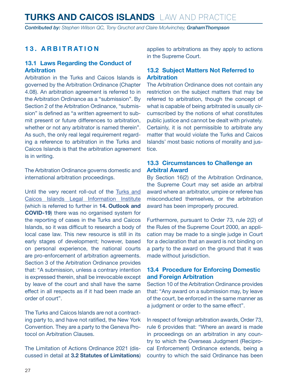<span id="page-26-0"></span>*Contributed by: Stephen Wilson QC, Tony Gruchot and Claire McAvinchey, GrahamThompson*

#### **13. ARBITRATION**

#### **13.1 Laws Regarding the Conduct of Arbitration**

Arbitration in the Turks and Caicos Islands is governed by the Arbitration Ordinance (Chapter 4.08). An arbitration agreement is referred to in the Arbitration Ordinance as a "submission". By Section 2 of the Arbitration Ordinance, "submission" is defined as "a written agreement to submit present or future differences to arbitration, whether or not any arbitrator is named therein". As such, the only real legal requirement regarding a reference to arbitration in the Turks and Caicos Islands is that the arbitration agreement is in writing.

The Arbitration Ordinance governs domestic and international arbitration proceedings.

Until the very recent roll-out of the [Turks and](https://tcilii.org/)  [Caicos Islands Legal Information Institute](https://tcilii.org/) (which is referred to further in **14. Outlook and COVID-19**) there was no organised system for the reporting of cases in the Turks and Caicos Islands, so it was difficult to research a body of local case law. This new resource is still in its early stages of development; however, based on personal experience, the national courts are pro-enforcement of arbitration agreements. Section 3 of the Arbitration Ordinance provides that: "A submission, unless a contrary intention is expressed therein, shall be irrevocable except by leave of the court and shall have the same effect in all respects as if it had been made an order of court".

The Turks and Caicos Islands are not a contracting party to, and have not ratified, the New York Convention. They are a party to the Geneva Protocol on Arbitration Clauses.

The Limitation of Actions Ordinance 2021 (discussed in detail at **3.2 Statutes of Limitations**) applies to arbitrations as they apply to actions in the Supreme Court.

#### **13.2 Subject Matters Not Referred to Arbitration**

The Arbitration Ordinance does not contain any restriction on the subject matters that may be referred to arbitration, though the concept of what is capable of being arbitrated is usually circumscribed by the notions of what constitutes public justice and cannot be dealt with privately. Certainly, it is not permissible to arbitrate any matter that would violate the Turks and Caicos Islands' most basic notions of morality and justice.

#### **13.3 Circumstances to Challenge an Arbitral Award**

By Section 16(2) of the Arbitration Ordinance, the Supreme Court may set aside an arbitral award where an arbitrator, umpire or referee has misconducted themselves, or the arbitration award has been improperly procured.

Furthermore, pursuant to Order 73, rule 2(2) of the Rules of the Supreme Court 2000, an application may be made to a single judge in Court for a declaration that an award is not binding on a party to the award on the ground that it was made without jurisdiction.

#### **13.4 Procedure for Enforcing Domestic and Foreign Arbitration**

Section 10 of the Arbitration Ordinance provides that: "Any award on a submission may, by leave of the court, be enforced in the same manner as a judgment or order to the same effect".

In respect of foreign arbitration awards, Order 73, rule 6 provides that: "Where an award is made in proceedings on an arbitration in any country to which the Overseas Judgment (Reciprocal Enforcement) Ordinance extends, being a country to which the said Ordinance has been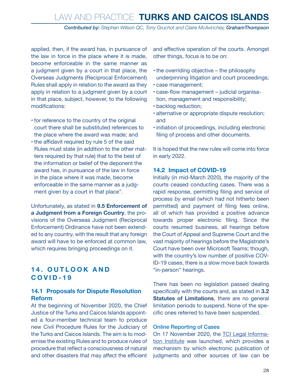*Contributed by: Stephen Wilson QC, Tony Gruchot and Claire McAvinchey, GrahamThompson*

<span id="page-27-0"></span>applied, then, if the award has, in pursuance of the law in force in the place where it is made, become enforceable in the same manner as a judgment given by a court in that place, the Overseas Judgments (Reciprocal Enforcement) Rules shall apply in relation to the award as they apply in relation to a judgment given by a court in that place, subject, however, to the following modifications:

- for reference to the country of the original court there shall be substituted references to the place where the award was made; and
- the affidavit required by rule 5 of the said Rules must state (in addition to the other matters required by that rule) that to the best of the information or belief of the deponent the award has, in pursuance of the law in force in the place where it was made, become enforceable in the same manner as a judgment given by a court in that place".

Unfortunately, as stated in **9.5 Enforcement of a Judgment from a Foreign Country**, the provisions of the Overseas Judgment (Reciprocal Enforcement) Ordinance have not been extended to any country, with the result that any foreign award will have to be enforced at common law, which requires bringing proceedings on it.

#### **1 4 . O U T L O O K A N D COVID-19**

#### **14.1 Proposals for Dispute Resolution Reform**

At the beginning of November 2020, the Chief Justice of the Turks and Caicos Islands appointed a four-member technical team to produce new Civil Procedure Rules for the Judiciary of the Turks and Caicos Islands. The aim is to modernise the existing Rules and to produce rules of procedure that reflect a consciousness of natural and other disasters that may affect the efficient and effective operation of the courts. Amongst other things, focus is to be on:

- $\cdot$  the overriding objective the philosophy underpinning litigation and court proceedings;
- • case management;
- • case-flow management judicial organisation, management and responsibility;
- • backlog reduction;
- alternative or appropriate dispute resolution; and
- initiation of proceedings, including electronic filing of process and other documents.

It is hoped that the new rules will come into force in early 2022.

#### **14.2 Impact of COVID-19**

Initially (in mid-March 2020), the majority of the courts ceased conducting cases. There was a rapid response, permitting filing and service of process by email (which had not hitherto been permitted) and payment of filing fees online, all of which has provided a positive advance towards proper electronic filing. Since the courts resumed business, all hearings before the Court of Appeal and Supreme Court and the vast majority of hearings before the Magistrate's Court have been over Microsoft Teams; though, with the country's low number of positive COV-ID-19 cases, there is a slow move back towards "in-person" hearings.

There has been no legislation passed dealing specifically with the courts and, as stated in **3.2 Statutes of Limitations**, there are no general limitation periods to suspend. None of the specific ones referred to have been suspended.

#### Online Reporting of Cases

On 17 November 2020, the [TCI Legal Informa](https://tcilii.org/)[tion Institute](https://tcilii.org/) was launched, which provides a mechanism by which electronic publication of judgments and other sources of law can be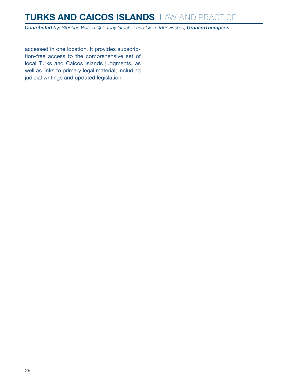*Contributed by: Stephen Wilson QC, Tony Gruchot and Claire McAvinchey, GrahamThompson*

accessed in one location. It provides subscription-free access to the comprehensive set of local Turks and Caicos Islands judgments, as well as links to primary legal material, including judicial writings and updated legislation.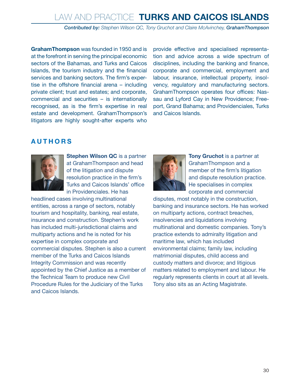*Contributed by: Stephen Wilson QC, Tony Gruchot and Claire McAvinchey, GrahamThompson*

**GrahamThompson** was founded in 1950 and is at the forefront in serving the principal economic sectors of the Bahamas, and Turks and Caicos Islands, the tourism industry and the financial services and banking sectors. The firm's expertise in the offshore financial arena – including private client; trust and estates; and corporate, commercial and securities – is internationally recognised, as is the firm's expertise in real estate and development. GrahamThompson's litigators are highly sought-after experts who

provide effective and specialised representation and advice across a wide spectrum of disciplines, including the banking and finance, corporate and commercial, employment and labour, insurance, intellectual property, insolvency, regulatory and manufacturing sectors. GrahamThompson operates four offices: Nassau and Lyford Cay in New Providence; Freeport, Grand Bahama; and Providenciales, Turks and Caicos Islands.

#### <span id="page-29-0"></span>**AUTHORS**



**Stephen Wilson QC** is a partner at GrahamThompson and head of the litigation and dispute resolution practice in the firm's Turks and Caicos Islands' office in Providenciales. He has

headlined cases involving multinational entities, across a range of sectors, notably tourism and hospitality, banking, real estate, insurance and construction. Stephen's work has included multi-jurisdictional claims and multiparty actions and he is noted for his expertise in complex corporate and commercial disputes. Stephen is also a current member of the Turks and Caicos Islands Integrity Commission and was recently appointed by the Chief Justice as a member of the Technical Team to produce new Civil Procedure Rules for the Judiciary of the Turks and Caicos Islands.



**Tony Gruchot** is a partner at GrahamThompson and a member of the firm's litigation and dispute resolution practice. He specialises in complex corporate and commercial

disputes, most notably in the construction, banking and insurance sectors. He has worked on multiparty actions, contract breaches, insolvencies and liquidations involving multinational and domestic companies. Tony's practice extends to admiralty litigation and maritime law, which has included environmental claims; family law, including matrimonial disputes, child access and custody matters and divorce; and litigious matters related to employment and labour. He regularly represents clients in court at all levels. Tony also sits as an Acting Magistrate.